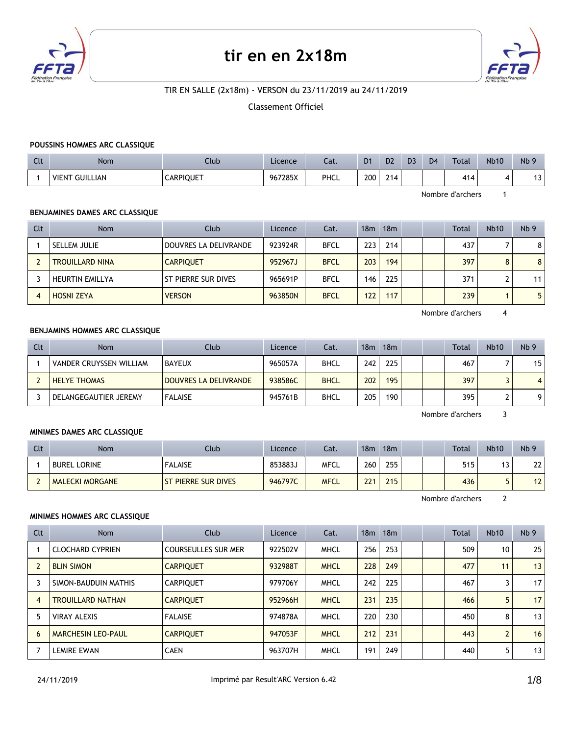

# **tir en en 2x18m**



# TIR EN SALLE (2x18m) - VERSON du 23/11/2019 au 24/11/2019

Classement Officiel

#### **POUSSINS HOMMES ARC CLASSIQUE**

| Clt | Nom                             | Club             | Licence | Cat. | D <sub>1</sub> | D <sub>2</sub> | D <sub>3</sub> | D <sub>4</sub> | <b>Total</b> | <b>Nb10</b> | Nb <sub>9</sub> |
|-----|---------------------------------|------------------|---------|------|----------------|----------------|----------------|----------------|--------------|-------------|-----------------|
|     | <b>GUILLIAN</b><br><b>VIENT</b> | <b>CARPIQUET</b> | 967285X | PHCL | 200            | 24.4<br>214    |                |                | 414          |             | $\sim$<br>ا ب   |

Nombre d'archers 1

## **BENJAMINES DAMES ARC CLASSIQUE**

| Clt | <b>Nom</b>             | Club                  | Licence | Cat.        | 18 <sub>m</sub> | 18m |  | Total | <b>Nb10</b> | Nb <sub>9</sub> |
|-----|------------------------|-----------------------|---------|-------------|-----------------|-----|--|-------|-------------|-----------------|
|     | SELLEM JULIE           | DOUVRES LA DELIVRANDE | 923924R | <b>BFCL</b> | 223             | 214 |  | 437   |             | 8               |
|     | <b>TROUILLARD NINA</b> | <b>CARPIQUET</b>      | 952967J | <b>BFCL</b> | 203             | 194 |  | 397   | 8           | 8               |
|     | <b>HEURTIN EMILLYA</b> | ST PIERRE SUR DIVES   | 965691P | <b>BFCL</b> | 146             | 225 |  | 371   |             | 11              |
| -4  | <b>HOSNI ZEYA</b>      | <b>VERSON</b>         | 963850N | <b>BFCL</b> | 122             | 117 |  | 239   |             | 5               |

Nombre d'archers 4

#### **BENJAMINS HOMMES ARC CLASSIQUE**

| Clt | Nom                     | Club                  | Licence | Cat.        | 18m | 18m |  | <b>Total</b> | <b>Nb10</b> | Nb <sub>9</sub> |
|-----|-------------------------|-----------------------|---------|-------------|-----|-----|--|--------------|-------------|-----------------|
|     | VANDER CRUYSSEN WILLIAM | <b>BAYEUX</b>         | 965057A | <b>BHCL</b> | 242 | 225 |  | 467          |             | 15 <sup>1</sup> |
|     | <b>HELYE THOMAS</b>     | DOUVRES LA DELIVRANDE | 938586C | <b>BHCL</b> | 202 | 195 |  | 397          |             | $\vert 4 \vert$ |
|     | DELANGEGAUTIER JEREMY   | <b>FALAISE</b>        | 945761B | <b>BHCL</b> | 205 | 190 |  | 395          |             | 91              |

Nombre d'archers 3

### **MINIMES DAMES ARC CLASSIQUE**

| Clt | Nom                    | Clubi                      | Licence | Cat.        | 18m | 18 <sub>m</sub> |  | <b>Total</b> | <b>Nb10</b> | Nb <sub>9</sub> |
|-----|------------------------|----------------------------|---------|-------------|-----|-----------------|--|--------------|-------------|-----------------|
|     | <b>BUREL LORINE</b>    | <b>FALAISE</b>             | 853883J | <b>MFCL</b> | 260 | 255             |  | 515          |             | າາ<br>LL        |
|     | <b>MALECKI MORGANE</b> | <b>ST PIERRE SUR DIVES</b> | 946797C | <b>MFCL</b> | 221 | 215             |  | 436          |             | 12<br>L         |

Nombre d'archers 2

#### **MINIMES HOMMES ARC CLASSIQUE**

| Clt            | Nom                       | Club                       | Licence | Cat.        | 18 <sub>m</sub> | 18 <sub>m</sub> |  | <b>Total</b> | <b>Nb10</b>       | Nb <sub>9</sub> |
|----------------|---------------------------|----------------------------|---------|-------------|-----------------|-----------------|--|--------------|-------------------|-----------------|
|                | <b>CLOCHARD CYPRIEN</b>   | <b>COURSEULLES SUR MER</b> | 922502V | <b>MHCL</b> | 256             | 253             |  | 509          | 10                | 25              |
|                | <b>BLIN SIMON</b>         | <b>CARPIQUET</b>           | 932988T | <b>MHCL</b> | 228             | 249             |  | 477          | 11                | 13              |
|                | SIMON-BAUDUIN MATHIS      | <b>CARPIOUET</b>           | 979706Y | <b>MHCL</b> | 242             | 225             |  | 467          |                   | 17              |
| $\overline{4}$ | <b>TROUILLARD NATHAN</b>  | <b>CARPIQUET</b>           | 952966H | <b>MHCL</b> | 231             | 235             |  | 466          | 5                 | 17              |
| 5              | <b>VIRAY ALEXIS</b>       | <b>FALAISE</b>             | 974878A | <b>MHCL</b> | 220             | 230             |  | 450          | 8                 | 13              |
| 6              | <b>MARCHESIN LEO-PAUL</b> | <b>CARPIOUET</b>           | 947053F | <b>MHCL</b> | 212             | 231             |  | 443          | $\mathbf{\Omega}$ | 16              |
|                | <b>LEMIRE EWAN</b>        | <b>CAEN</b>                | 963707H | <b>MHCL</b> | 191             | 249             |  | 440          | 5                 | 13              |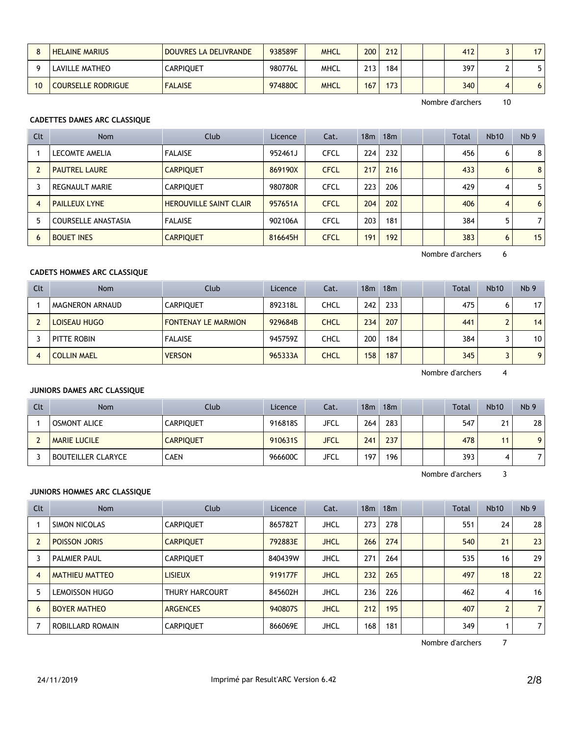|    | <b>HELAINE MARIUS</b>     | DOUVRES LA DELIVRANDE | 938589F | <b>MHCL</b> | 200 | 212 |  | 412 |   | 17 <sup>1</sup> |
|----|---------------------------|-----------------------|---------|-------------|-----|-----|--|-----|---|-----------------|
|    | <b>LAVILLE MATHEO</b>     | CARPIQUET             | 980776L | MHCL        | 213 | 184 |  | 397 |   |                 |
| 10 | <b>COURSELLE RODRIGUE</b> | <b>FALAISE</b>        | 974880C | <b>MHCL</b> | 167 | 173 |  | 340 | Δ | ו ס             |

## **CADETTES DAMES ARC CLASSIQUE**

| Clt            | <b>Nom</b>            | Club                          | Licence | Cat.        | 18 <sub>m</sub> | 18m |  | <b>Total</b> | <b>Nb10</b> | Nb <sub>9</sub> |
|----------------|-----------------------|-------------------------------|---------|-------------|-----------------|-----|--|--------------|-------------|-----------------|
|                | LECOMTE AMELIA        | <b>FALAISE</b>                | 952461J | <b>CFCL</b> | 224             | 232 |  | 456          | 6           | 8               |
|                | <b>PAUTREL LAURE</b>  | <b>CARPIOUET</b>              | 869190X | <b>CFCL</b> | 217             | 216 |  | 433          | 6           | 8               |
|                | <b>REGNAULT MARIE</b> | <b>CARPIQUET</b>              | 980780R | <b>CFCL</b> | 223             | 206 |  | 429          | 4           | 5               |
| $\overline{4}$ | <b>PAILLEUX LYNE</b>  | <b>HEROUVILLE SAINT CLAIR</b> | 957651A | <b>CFCL</b> | 204             | 202 |  | 406          | 4           | 6               |
| 5              | COURSELLE ANASTASIA   | <b>FALAISE</b>                | 902106A | <b>CFCL</b> | 203             | 181 |  | 384          |             | 7               |
| 6              | <b>BOUET INES</b>     | <b>CARPIQUET</b>              | 816645H | <b>CFCL</b> | 191             | 192 |  | 383          | 6           | 15              |

Nombre d'archers 6

# **CADETS HOMMES ARC CLASSIQUE**

| Clt | <b>Nom</b>         | Club                       | Licence | Cat.        | 18 <sub>m</sub> | 18 <sub>m</sub> |  | Total | <b>Nb10</b> | Nb <sub>9</sub> |
|-----|--------------------|----------------------------|---------|-------------|-----------------|-----------------|--|-------|-------------|-----------------|
|     | MAGNERON ARNAUD    | <b>CARPIOUET</b>           | 892318L | CHCL        | 242             | 233             |  | 475   |             | 17              |
|     | LOISEAU HUGO       | <b>FONTENAY LE MARMION</b> | 929684B | <b>CHCL</b> | 234             | 207             |  | 441   |             | 14              |
|     | PITTE ROBIN        | <b>FALAISE</b>             | 945759Z | CHCL        | 200             | 184             |  | 384   |             | 10              |
|     | <b>COLLIN MAEL</b> | <b>VERSON</b>              | 965333A | CHCL        | 158             | 187             |  | 345   |             | 9               |

Nombre d'archers 4

#### **JUNIORS DAMES ARC CLASSIQUE**

| Clt | Nom                       | Club             | Licence | Cat.        | 18 <sub>m</sub> | 18m |  | Total | <b>Nb10</b> | Nb <sub>9</sub> |
|-----|---------------------------|------------------|---------|-------------|-----------------|-----|--|-------|-------------|-----------------|
|     | <b>OSMONT ALICE</b>       | <b>CARPIQUET</b> | 916818S | JFCL        | 264             | 283 |  | 547   | 21          | 28              |
|     | <b>MARIE LUCILE</b>       | <b>CARPIQUET</b> | 910631S | <b>JFCL</b> | 241             | 237 |  | 478   | 11          | 9 <sup>1</sup>  |
|     | <b>BOUTEILLER CLARYCE</b> | <b>CAEN</b>      | 966600C | JFCL        | 197             | 196 |  | 393   | 4           | 7               |

Nombre d'archers 3

## **JUNIORS HOMMES ARC CLASSIQUE**

| Clt | <b>Nom</b>            | Club             | <b>Licence</b> | Cat.        | 18 <sub>m</sub> | 18 <sub>m</sub> |  | <b>Total</b> | <b>Nb10</b> | Nb <sub>9</sub> |
|-----|-----------------------|------------------|----------------|-------------|-----------------|-----------------|--|--------------|-------------|-----------------|
|     | SIMON NICOLAS         | <b>CARPIQUET</b> | 865782T        | <b>JHCL</b> | 273             | 278             |  | 551          | 24          | 28              |
|     | <b>POISSON JORIS</b>  | <b>CARPIOUET</b> | 792883E        | <b>JHCL</b> | 266             | 274             |  | 540          | 21          | 23              |
| 3   | <b>PALMIER PAUL</b>   | <b>CARPIOUET</b> | 840439W        | <b>JHCL</b> | 271             | 264             |  | 535          | 16          | 29              |
| 4   | <b>MATHIEU MATTEO</b> | <b>LISIEUX</b>   | 919177F        | <b>JHCL</b> | 232             | 265             |  | 497          | 18          | 22              |
| 5   | LEMOISSON HUGO        | THURY HARCOURT   | 845602H        | <b>JHCL</b> | 236             | 226             |  | 462          | 4           | 16              |
| 6   | <b>BOYER MATHEO</b>   | <b>ARGENCES</b>  | 940807S        | <b>JHCL</b> | 212             | 195             |  | 407          |             | 7 <sup>1</sup>  |
|     | ROBILLARD ROMAIN      | <b>CARPIOUET</b> | 866069E        | <b>JHCL</b> | 168             | 181             |  | 349          |             | 7 <sup>1</sup>  |

Nombre d'archers 7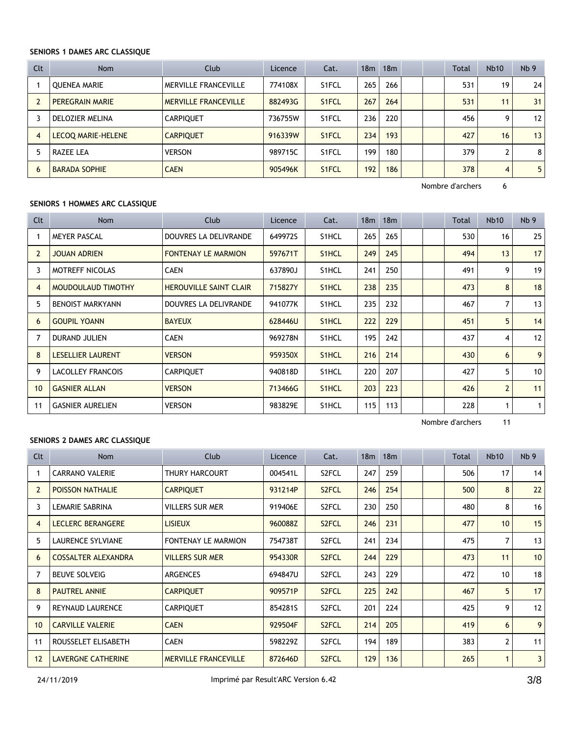## **SENIORS 1 DAMES ARC CLASSIQUE**

| Clt            | <b>Nom</b>           | Club                        | Licence | Cat.               | 18 <sub>m</sub> | 18 <sub>m</sub> |  | <b>Total</b> | <b>Nb10</b>        | Nb <sub>9</sub> |
|----------------|----------------------|-----------------------------|---------|--------------------|-----------------|-----------------|--|--------------|--------------------|-----------------|
|                | <b>OUENEA MARIE</b>  | MERVILLE FRANCEVILLE        | 774108X | S <sub>1</sub> FCL | 265             | 266             |  | 531          | 19                 | 24              |
|                | PEREGRAIN MARIE      | <b>MERVILLE FRANCEVILLE</b> | 882493G | S <sub>1</sub> FCL | 267             | 264             |  | 531          | 11                 | 31              |
|                | DELOZIER MELINA      | <b>CARPIOUET</b>            | 736755W | S <sub>1</sub> FCL | 236             | 220             |  | 456          | 9                  | 12              |
| $\overline{4}$ | LECOQ MARIE-HELENE   | <b>CARPIOUET</b>            | 916339W | S <sub>1</sub> FCL | 234             | 193             |  | 427          | 16                 | 13              |
|                | RAZEE LEA            | <b>VERSON</b>               | 989715C | S <sub>1</sub> FCL | 199             | 180             |  | 379          | $\mathbf{\hat{z}}$ | 8               |
| 6              | <b>BARADA SOPHIE</b> | <b>CAEN</b>                 | 905496K | S <sub>1</sub> FCL | 192             | 186             |  | 378          | 4                  | 5               |

Nombre d'archers 6

## **SENIORS 1 HOMMES ARC CLASSIQUE**

| Clt            | Nom                      | Club                          | Licence | Cat.               | 18 <sub>m</sub> | 18m |  | <b>Total</b> | <b>Nb10</b>    | Nb <sub>9</sub> |
|----------------|--------------------------|-------------------------------|---------|--------------------|-----------------|-----|--|--------------|----------------|-----------------|
|                | <b>MEYER PASCAL</b>      | DOUVRES LA DELIVRANDE         | 649972S | S1HCL              | 265             | 265 |  | 530          | 16             | 25              |
| $\overline{2}$ | <b>JOUAN ADRIEN</b>      | <b>FONTENAY LE MARMION</b>    | 597671T | S1HCL              | 249             | 245 |  | 494          | 13             | 17              |
| 3              | <b>MOTREFF NICOLAS</b>   | <b>CAEN</b>                   | 637890J | S1HCL              | 241             | 250 |  | 491          | 9              | 19              |
| $\overline{4}$ | MOUDOULAUD TIMOTHY       | <b>HEROUVILLE SAINT CLAIR</b> | 715827Y | S1HCL              | 238             | 235 |  | 473          | 8              | 18              |
| 5              | <b>BENOIST MARKYANN</b>  | DOUVRES LA DELIVRANDE         | 941077K | S1HCL              | 235             | 232 |  | 467          |                | 13              |
| 6              | <b>GOUPIL YOANN</b>      | <b>BAYEUX</b>                 | 628446U | S <sub>1</sub> HCL | 222             | 229 |  | 451          | 5              | 14              |
|                | <b>DURAND JULIEN</b>     | <b>CAEN</b>                   | 969278N | S1HCL              | 195             | 242 |  | 437          | 4              | 12              |
| 8              | <b>LESELLIER LAURENT</b> | <b>VERSON</b>                 | 959350X | S1HCL              | 216             | 214 |  | 430          | 6              | 9               |
| 9              | <b>LACOLLEY FRANCOIS</b> | <b>CARPIQUET</b>              | 940818D | S1HCL              | 220             | 207 |  | 427          | 5              | 10              |
| 10             | <b>GASNIER ALLAN</b>     | <b>VERSON</b>                 | 713466G | S <sub>1</sub> HCL | 203             | 223 |  | 426          | $\overline{2}$ | 11              |
| 11             | <b>GASNIER AURELIEN</b>  | <b>VERSON</b>                 | 983829E | S1HCL              | 115             | 113 |  | 228          |                | $\mathbf{1}$    |

Nombre d'archers 11

## **SENIORS 2 DAMES ARC CLASSIQUE**

| Clt            | <b>Nom</b>                 | Club                        | Licence | Cat.               | 18 <sub>m</sub> | 18m |  | Total | Nb10 | Nb <sub>9</sub> |
|----------------|----------------------------|-----------------------------|---------|--------------------|-----------------|-----|--|-------|------|-----------------|
|                | <b>CARRANO VALERIE</b>     | THURY HARCOURT              | 004541L | S2FCL              | 247             | 259 |  | 506   | 17   | 14              |
| $\overline{2}$ | <b>POISSON NATHALIE</b>    | <b>CARPIQUET</b>            | 931214P | S <sub>2</sub> FCL | 246             | 254 |  | 500   | 8    | 22              |
| 3              | LEMARIE SABRINA            | <b>VILLERS SUR MER</b>      | 919406E | S <sub>2</sub> FCL | 230             | 250 |  | 480   | 8    | 16              |
| $\overline{4}$ | <b>LECLERC BERANGERE</b>   | <b>LISIEUX</b>              | 960088Z | S <sub>2</sub> FCL | 246             | 231 |  | 477   | 10   | 15              |
| 5              | LAURENCE SYLVIANE          | <b>FONTENAY LE MARMION</b>  | 754738T | S <sub>2</sub> FCL | 241             | 234 |  | 475   | 7    | 13              |
| 6              | <b>COSSALTER ALEXANDRA</b> | <b>VILLERS SUR MER</b>      | 954330R | S <sub>2</sub> FCL | 244             | 229 |  | 473   | 11   | 10              |
| 7              | <b>BEUVE SOLVEIG</b>       | <b>ARGENCES</b>             | 694847U | S <sub>2</sub> FCL | 243             | 229 |  | 472   | 10   | 18              |
| 8              | <b>PAUTREL ANNIE</b>       | <b>CARPIQUET</b>            | 909571P | S <sub>2</sub> FCL | 225             | 242 |  | 467   | 5    | 17              |
| 9              | <b>REYNAUD LAURENCE</b>    | <b>CARPIQUET</b>            | 854281S | S <sub>2</sub> FCL | 201             | 224 |  | 425   | 9    | 12              |
| 10             | <b>CARVILLE VALERIE</b>    | <b>CAEN</b>                 | 929504F | S <sub>2</sub> FCL | 214             | 205 |  | 419   | 6    | 9               |
| 11             | ROUSSELET ELISABETH        | <b>CAEN</b>                 | 598229Z | S <sub>2</sub> FCL | 194             | 189 |  | 383   | 2    | 11              |
| 12             | <b>LAVERGNE CATHERINE</b>  | <b>MERVILLE FRANCEVILLE</b> | 872646D | S <sub>2</sub> FCL | 129             | 136 |  | 265   |      | 3               |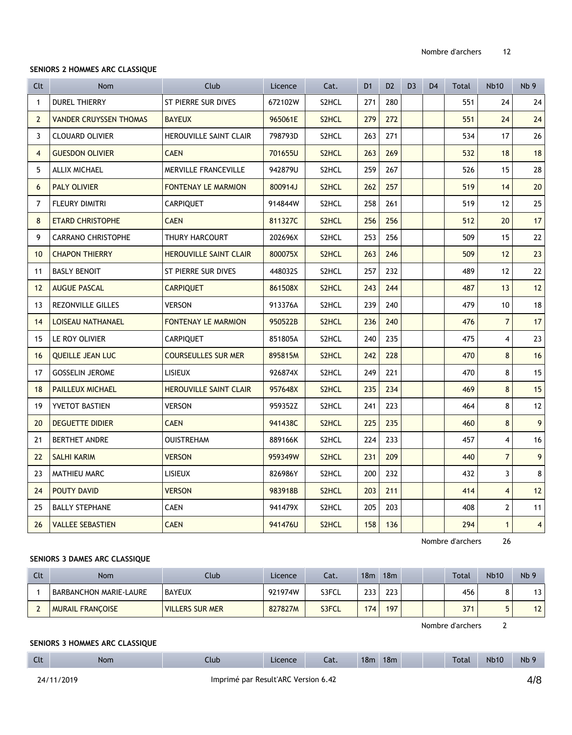#### **SENIORS 2 HOMMES ARC CLASSIQUE**

| Clt            | <b>Nom</b>                    | Club                          | Licence | Cat.               | D <sub>1</sub> | D <sub>2</sub> | D <sub>3</sub> | D <sub>4</sub> | Total | <b>Nb10</b>    | Nb <sub>9</sub>         |
|----------------|-------------------------------|-------------------------------|---------|--------------------|----------------|----------------|----------------|----------------|-------|----------------|-------------------------|
| $\mathbf{1}$   | <b>DUREL THIERRY</b>          | <b>ST PIERRE SUR DIVES</b>    | 672102W | S2HCL              | 271            | 280            |                |                | 551   | 24             | 24                      |
| $\overline{2}$ | <b>VANDER CRUYSSEN THOMAS</b> | <b>BAYEUX</b>                 | 965061E | S <sub>2</sub> HCL | 279            | 272            |                |                | 551   | 24             | 24                      |
| 3              | <b>CLOUARD OLIVIER</b>        | <b>HEROUVILLE SAINT CLAIR</b> | 798793D | S2HCL              | 263            | 271            |                |                | 534   | 17             | 26                      |
| $\overline{4}$ | <b>GUESDON OLIVIER</b>        | <b>CAEN</b>                   | 701655U | S2HCL              | 263            | 269            |                |                | 532   | 18             | 18                      |
| 5              | ALLIX MICHAEL                 | MERVILLE FRANCEVILLE          | 942879U | S2HCL              | 259            | 267            |                |                | 526   | 15             | 28                      |
| 6              | <b>PALY OLIVIER</b>           | <b>FONTENAY LE MARMION</b>    | 800914J | S2HCL              | 262            | 257            |                |                | 519   | 14             | 20                      |
| 7              | <b>FLEURY DIMITRI</b>         | <b>CARPIQUET</b>              | 914844W | S2HCL              | 258            | 261            |                |                | 519   | 12             | 25                      |
| 8              | <b>ETARD CHRISTOPHE</b>       | <b>CAEN</b>                   | 811327C | S <sub>2</sub> HCL | 256            | 256            |                |                | 512   | 20             | 17                      |
| 9              | <b>CARRANO CHRISTOPHE</b>     | THURY HARCOURT                | 202696X | S2HCL              | 253            | 256            |                |                | 509   | 15             | 22                      |
| 10             | <b>CHAPON THIERRY</b>         | <b>HEROUVILLE SAINT CLAIR</b> | 800075X | S <sub>2</sub> HCL | 263            | 246            |                |                | 509   | 12             | 23                      |
| 11             | <b>BASLY BENOIT</b>           | <b>ST PIERRE SUR DIVES</b>    | 448032S | S2HCL              | 257            | 232            |                |                | 489   | 12             | 22                      |
| 12             | <b>AUGUE PASCAL</b>           | <b>CARPIQUET</b>              | 861508X | S2HCL              | 243            | 244            |                |                | 487   | 13             | 12                      |
| 13             | <b>REZONVILLE GILLES</b>      | <b>VERSON</b>                 | 913376A | S2HCL              | 239            | 240            |                |                | 479   | 10             | 18                      |
| 14             | <b>LOISEAU NATHANAEL</b>      | <b>FONTENAY LE MARMION</b>    | 950522B | S2HCL              | 236            | 240            |                |                | 476   | $\overline{7}$ | 17                      |
| 15             | LE ROY OLIVIER                | <b>CARPIQUET</b>              | 851805A | S2HCL              | 240            | 235            |                |                | 475   | 4              | 23                      |
| 16             | <b>OUEILLE JEAN LUC</b>       | <b>COURSEULLES SUR MER</b>    | 895815M | S <sub>2</sub> HCL | 242            | 228            |                |                | 470   | 8              | 16                      |
| 17             | <b>GOSSELIN JEROME</b>        | <b>LISIEUX</b>                | 926874X | S2HCL              | 249            | 221            |                |                | 470   | 8              | 15                      |
| 18             | <b>PAILLEUX MICHAEL</b>       | <b>HEROUVILLE SAINT CLAIR</b> | 957648X | S <sub>2</sub> HCL | 235            | 234            |                |                | 469   | 8              | 15                      |
| 19             | <b>YVETOT BASTIEN</b>         | <b>VERSON</b>                 | 959352Z | S2HCL              | 241            | 223            |                |                | 464   | 8              | 12                      |
| 20             | <b>DEGUETTE DIDIER</b>        | <b>CAEN</b>                   | 941438C | S2HCL              | 225            | 235            |                |                | 460   | 8              | 9                       |
| 21             | <b>BERTHET ANDRE</b>          | <b>OUISTREHAM</b>             | 889166K | S2HCL              | 224            | 233            |                |                | 457   | 4              | 16                      |
| 22             | <b>SALHI KARIM</b>            | <b>VERSON</b>                 | 959349W | S2HCL              | 231            | 209            |                |                | 440   | $\overline{7}$ | 9                       |
| 23             | MATHIEU MARC                  | <b>LISIEUX</b>                | 826986Y | S2HCL              | 200            | 232            |                |                | 432   | 3              | 8                       |
| 24             | <b>POUTY DAVID</b>            | <b>VERSON</b>                 | 983918B | S2HCL              | 203            | 211            |                |                | 414   | $\overline{4}$ | 12                      |
| 25             | <b>BALLY STEPHANE</b>         | <b>CAEN</b>                   | 941479X | S2HCL              | 205            | 203            |                |                | 408   | $\overline{2}$ | 11                      |
| 26             | <b>VALLEE SEBASTIEN</b>       | <b>CAEN</b>                   | 941476U | S2HCL              | 158            | 136            |                |                | 294   | $\mathbf{1}$   | $\overline{\mathbf{4}}$ |

Nombre d'archers 26

# **SENIORS 3 DAMES ARC CLASSIQUE**

| Clt | Nom                     | Club                   | Licence | Cat.  | 18 <sub>m</sub> | 18m |  | <b>Total</b> | <b>Nb10</b> | Nb <sub>9</sub> |
|-----|-------------------------|------------------------|---------|-------|-----------------|-----|--|--------------|-------------|-----------------|
|     | BARBANCHON MARIE-LAURE  | <b>BAYEUX</b>          | 921974W | S3FCL | 233             | 223 |  | 456          | o<br>٥      | 13.             |
|     | <b>MURAIL FRANCOISE</b> | <b>VILLERS SUR MER</b> | 827827M | S3FCL | 174             | 197 |  | 371          |             | 12              |

Nombre d'archers 2

## **SENIORS 3 HOMMES ARC CLASSIQUE**

| $\sim$<br>いい | <b>Nom</b> | Club | Licence | Cat. | 18m | 18m | <b>Total</b> | <b>Nb10</b> | Nb <sub>9</sub> |
|--------------|------------|------|---------|------|-----|-----|--------------|-------------|-----------------|
|              |            |      |         |      |     |     |              |             |                 |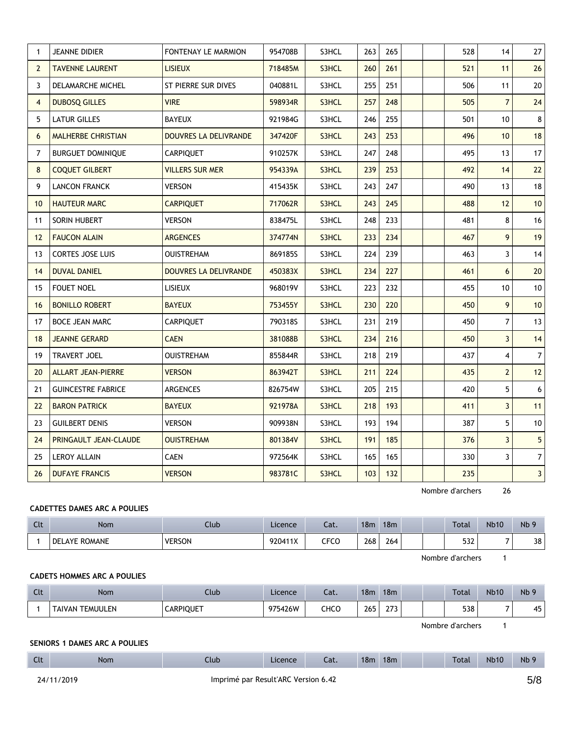| $\mathbf{1}$   | <b>JEANNE DIDIER</b>      | <b>FONTENAY LE MARMION</b>   | 954708B | S3HCL | 263 | 265 |  | 528 | 14                      | 27             |
|----------------|---------------------------|------------------------------|---------|-------|-----|-----|--|-----|-------------------------|----------------|
| $\mathbf{2}$   | <b>TAVENNE LAURENT</b>    | <b>LISIEUX</b>               | 718485M | S3HCL | 260 | 261 |  | 521 | 11                      | 26             |
| 3              | DELAMARCHE MICHEL         | ST PIERRE SUR DIVES          | 040881L | S3HCL | 255 | 251 |  | 506 | 11                      | 20             |
| $\overline{4}$ | <b>DUBOSQ GILLES</b>      | <b>VIRE</b>                  | 598934R | S3HCL | 257 | 248 |  | 505 | $\overline{7}$          | 24             |
| 5              | <b>LATUR GILLES</b>       | <b>BAYEUX</b>                | 921984G | S3HCL | 246 | 255 |  | 501 | 10                      | 8 <sup>1</sup> |
| 6              | <b>MALHERBE CHRISTIAN</b> | <b>DOUVRES LA DELIVRANDE</b> | 347420F | S3HCL | 243 | 253 |  | 496 | 10                      | 18             |
| $\overline{7}$ | <b>BURGUET DOMINIQUE</b>  | <b>CARPIQUET</b>             | 910257K | S3HCL | 247 | 248 |  | 495 | 13                      | 17             |
| 8              | <b>COQUET GILBERT</b>     | <b>VILLERS SUR MER</b>       | 954339A | S3HCL | 239 | 253 |  | 492 | 14                      | 22             |
| 9              | <b>LANCON FRANCK</b>      | <b>VERSON</b>                | 415435K | S3HCL | 243 | 247 |  | 490 | 13                      | 18             |
| 10             | <b>HAUTEUR MARC</b>       | <b>CARPIQUET</b>             | 717062R | S3HCL | 243 | 245 |  | 488 | 12                      | 10             |
| 11             | SORIN HUBERT              | <b>VERSON</b>                | 838475L | S3HCL | 248 | 233 |  | 481 | 8                       | 16             |
| 12             | <b>FAUCON ALAIN</b>       | <b>ARGENCES</b>              | 374774N | S3HCL | 233 | 234 |  | 467 | 9                       | 19             |
| 13             | <b>CORTES JOSE LUIS</b>   | <b>OUISTREHAM</b>            | 869185S | S3HCL | 224 | 239 |  | 463 | 3                       | 14             |
| 14             | <b>DUVAL DANIEL</b>       | <b>DOUVRES LA DELIVRANDE</b> | 450383X | S3HCL | 234 | 227 |  | 461 | 6                       | 20             |
| 15             | <b>FOUET NOEL</b>         | <b>LISIEUX</b>               | 968019V | S3HCL | 223 | 232 |  | 455 | 10                      | 10             |
| 16             | <b>BONILLO ROBERT</b>     | <b>BAYEUX</b>                | 753455Y | S3HCL | 230 | 220 |  | 450 | 9                       | 10             |
| 17             | <b>BOCE JEAN MARC</b>     | <b>CARPIQUET</b>             | 790318S | S3HCL | 231 | 219 |  | 450 | $\overline{7}$          | 13             |
| 18             | <b>JEANNE GERARD</b>      | <b>CAEN</b>                  | 381088B | S3HCL | 234 | 216 |  | 450 | 3                       | 14             |
| 19             | <b>TRAVERT JOEL</b>       | <b>OUISTREHAM</b>            | 855844R | S3HCL | 218 | 219 |  | 437 | 4                       | 7 <sup>1</sup> |
| 20             | <b>ALLART JEAN-PIERRE</b> | <b>VERSON</b>                | 863942T | S3HCL | 211 | 224 |  | 435 | $\overline{2}$          | 12             |
| 21             | <b>GUINCESTRE FABRICE</b> | ARGENCES                     | 826754W | S3HCL | 205 | 215 |  | 420 | 5                       | 6 <sup>1</sup> |
| 22             | <b>BARON PATRICK</b>      | <b>BAYEUX</b>                | 921978A | S3HCL | 218 | 193 |  | 411 | $\overline{\mathbf{3}}$ | 11             |
| 23             | <b>GUILBERT DENIS</b>     | <b>VERSON</b>                | 909938N | S3HCL | 193 | 194 |  | 387 | 5                       | 10             |
| 24             | PRINGAULT JEAN-CLAUDE     | <b>OUISTREHAM</b>            | 801384V | S3HCL | 191 | 185 |  | 376 | $\overline{3}$          | 5 <sup>1</sup> |
| 25             | <b>LEROY ALLAIN</b>       | <b>CAEN</b>                  | 972564K | S3HCL | 165 | 165 |  | 330 | 3                       | 7 <sup>1</sup> |
| 26             | <b>DUFAYE FRANCIS</b>     | <b>VERSON</b>                | 983781C | S3HCL | 103 | 132 |  | 235 |                         | 3 <sup>1</sup> |

## **CADETTES DAMES ARC A POULIES**

| Clt | Nom                  | Club          | Licence | Cat. | 18m       | 18 <sub>m</sub> |  | <b>Total</b> | Nb10                     | Nb <sub>5</sub> |
|-----|----------------------|---------------|---------|------|-----------|-----------------|--|--------------|--------------------------|-----------------|
|     | <b>DELAYE ROMANE</b> | <b>VERSON</b> | 920411X | CFCC | 268<br>__ | 264             |  | 532          | $\overline{\phantom{0}}$ | 38              |

Nombre d'archers 1

#### **CADETS HOMMES ARC A POULIES**

| $\sim$<br>uu | <b>Nom</b>      | Llub             | Licence | ו ה<br>cal. | 18 <sub>m</sub> | 18 <sub>m</sub>        |  | <b>Total</b> | <b>Nb10</b> | Nb <sub>9</sub> |
|--------------|-----------------|------------------|---------|-------------|-----------------|------------------------|--|--------------|-------------|-----------------|
|              | TAIVAN TEMUULEN | <b>CARPIQUET</b> | 975426W | снсс        | 265             | $\sim$ $\sim$<br>- - - |  | 538          |             | 45<br>τυ        |

Nombre d'archers 1

## **SENIORS 1 DAMES ARC A POULIES**

| <b>Clt</b> | Nom   | Club                                | Licence | Cat. | 18m | 18m | <b>Total</b> | <b>Nb10</b> | Nb <sub>9</sub> |
|------------|-------|-------------------------------------|---------|------|-----|-----|--------------|-------------|-----------------|
| 24/11      | /2019 | Imprimé par Result'ARC Version 6.42 |         |      |     |     |              |             | 5/8             |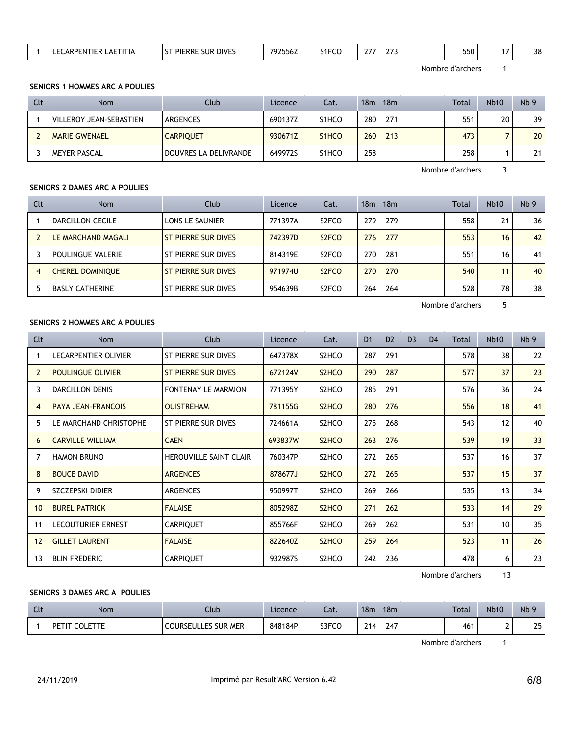| 38<br>550<br><b>SUR DIVES</b><br>. I I I I A<br>_556 <i>L</i><br>SIFCC<br>21 J<br>. .<br>____<br>__<br>the contract of the contract of the contract of the contract of the contract of the contract of the contract of |
|------------------------------------------------------------------------------------------------------------------------------------------------------------------------------------------------------------------------|
|------------------------------------------------------------------------------------------------------------------------------------------------------------------------------------------------------------------------|

#### **SENIORS 1 HOMMES ARC A POULIES**

| Clt | Nom                     | Club                  | Licence | Cat.               | 18m | 18m              |  | <b>Total</b> | <b>Nb10</b>     | Nb <sub>9</sub> |
|-----|-------------------------|-----------------------|---------|--------------------|-----|------------------|--|--------------|-----------------|-----------------|
|     | VILLEROY JEAN-SEBASTIEN | ARGENCES              | 690137Z | S1HCO              | 280 | 271              |  | 551          | 20 <sub>1</sub> | 39              |
|     | <b>MARIE GWENAEL</b>    | <b>CARPIQUET</b>      | 930671Z | S <sub>1</sub> HCO | 260 | 213 <sub>1</sub> |  | 473          |                 | 20 <sub>1</sub> |
|     | MEYER PASCAL            | DOUVRES LA DELIVRANDE | 649972S | S1HCO              | 258 |                  |  | 258          |                 | 21              |

Nombre d'archers 3

## **SENIORS 2 DAMES ARC A POULIES**

| Clt            | <b>Nom</b>              | Club                          | Licence | Cat.               | 18 <sub>m</sub> | 18 <sub>m</sub> |  | <b>Total</b> | Nb10 | Nb <sub>9</sub> |
|----------------|-------------------------|-------------------------------|---------|--------------------|-----------------|-----------------|--|--------------|------|-----------------|
|                | DARCILLON CECILE        | LONS LE SAUNIER               | 771397A | S <sub>2</sub> FCO | 279             | 279             |  | 558          | 21   | 36              |
|                | LE MARCHAND MAGALI      | ST PIERRE SUR DIVES           | 742397D | S <sub>2</sub> FCO | 276             | 277             |  | 553          | 16   | 42              |
|                | POULINGUE VALERIE       | ST PIERRE SUR DIVES           | 814319E | S <sub>2</sub> FCO | 270             | 281             |  | 551          | 16   | 41              |
| $\overline{4}$ | <b>CHEREL DOMINIQUE</b> | <b>ST PIERRE SUR DIVES</b>    | 971974U | S <sub>2</sub> FCO | 270             | 270             |  | 540          | 11   | 40              |
|                | <b>BASLY CATHERINE</b>  | PIERRE SUR DIVES<br><b>ST</b> | 954639B | S <sub>2</sub> FCO | 264             | 264             |  | 528          | 78   | 38              |

Nombre d'archers 5

#### **SENIORS 2 HOMMES ARC A POULIES**

| Clt            | Nom                       | Club                          | Licence | Cat.                           | D <sub>1</sub> | D <sub>2</sub> | D <sub>3</sub> | D <sub>4</sub> | Total | <b>Nb10</b> | Nb <sub>9</sub> |
|----------------|---------------------------|-------------------------------|---------|--------------------------------|----------------|----------------|----------------|----------------|-------|-------------|-----------------|
|                | LECARPENTIER OLIVIER      | ST PIERRE SUR DIVES           | 647378X | S2HCO                          | 287            | 291            |                |                | 578   | 38          | 22              |
| $\overline{2}$ | <b>POULINGUE OLIVIER</b>  | <b>ST PIERRE SUR DIVES</b>    | 672124V | S <sub>2</sub> HC <sub>O</sub> | 290            | 287            |                |                | 577   | 37          | 23              |
| 3              | DARCILLON DENIS           | <b>FONTENAY LE MARMION</b>    | 771395Y | S2HCO                          | 285            | 291            |                |                | 576   | 36          | 24              |
| 4              | <b>PAYA JEAN-FRANCOIS</b> | <b>OUISTREHAM</b>             | 781155G | S <sub>2</sub> HC <sub>O</sub> | 280            | 276            |                |                | 556   | 18          | 41              |
| 5              | LE MARCHAND CHRISTOPHE    | ST PIERRE SUR DIVES           | 724661A | S2HCO                          | 275            | 268            |                |                | 543   | 12          | 40              |
| 6              | <b>CARVILLE WILLIAM</b>   | <b>CAEN</b>                   | 693837W | S <sub>2</sub> HC <sub>O</sub> | 263            | 276            |                |                | 539   | 19          | 33              |
| 7              | <b>HAMON BRUNO</b>        | <b>HEROUVILLE SAINT CLAIR</b> | 760347P | S2HCO                          | 272            | 265            |                |                | 537   | 16          | 37              |
| 8              | <b>BOUCE DAVID</b>        | <b>ARGENCES</b>               | 878677J | S <sub>2</sub> HC <sub>O</sub> | 272            | 265            |                |                | 537   | 15          | 37              |
| 9              | <b>SZCZEPSKI DIDIER</b>   | <b>ARGENCES</b>               | 950997T | S2HCO                          | 269            | 266            |                |                | 535   | 13          | 34              |
| 10             | <b>BUREL PATRICK</b>      | <b>FALAISE</b>                | 805298Z | S <sub>2</sub> HC <sub>O</sub> | 271            | 262            |                |                | 533   | 14          | 29              |
| 11             | <b>LECOUTURIER ERNEST</b> | <b>CARPIQUET</b>              | 855766F | S2HCO                          | 269            | 262            |                |                | 531   | 10          | 35              |
| 12             | <b>GILLET LAURENT</b>     | <b>FALAISE</b>                | 822640Z | S <sub>2</sub> HC <sub>O</sub> | 259            | 264            |                |                | 523   | 11          | 26              |
| 13             | <b>BLIN FREDERIC</b>      | <b>CARPIQUET</b>              | 932987S | S <sub>2</sub> HC <sub>O</sub> | 242            | 236            |                |                | 478   | 6           | 23              |

Nombre d'archers 13

## **SENIORS 3 DAMES ARC A POULIES**

| Clt | Nom                                                                                   | Club                       | Licence | Cat.  | 18m  | 18m |  | <b>Total</b> | <b>Nb10</b> | Nb <sub>9</sub> |
|-----|---------------------------------------------------------------------------------------|----------------------------|---------|-------|------|-----|--|--------------|-------------|-----------------|
|     | $\overline{D}$ $\overline{D}$ $\overline{L}$ $\overline{L}$ $\overline{L}$<br>COLETTE | <b>COURSEULLES SUR MER</b> | 848184P | S3FCO | 214. | 247 |  | 461          |             | 25              |

Nombre d'archers 1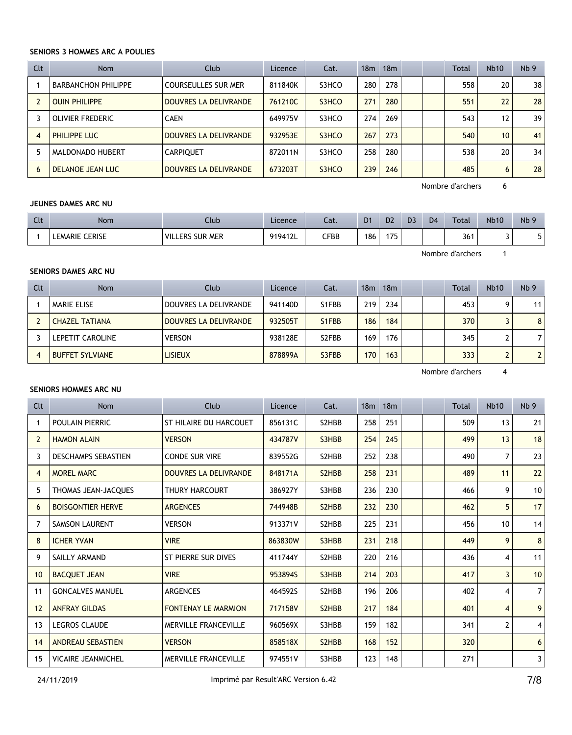#### **SENIORS 3 HOMMES ARC A POULIES**

| Clt            | Nom                        | Club                         | Licence | Cat.  | 18 <sub>m</sub> | 18 <sub>m</sub> |  | <b>Total</b> | <b>Nb10</b> | Nb <sub>9</sub> |
|----------------|----------------------------|------------------------------|---------|-------|-----------------|-----------------|--|--------------|-------------|-----------------|
|                | <b>BARBANCHON PHILIPPE</b> | <b>COURSEULLES SUR MER</b>   | 811840K | S3HCO | 280             | 278             |  | 558          | 20          | 38              |
|                | <b>OUIN PHILIPPE</b>       | <b>DOUVRES LA DELIVRANDE</b> | 761210C | S3HCO | 271             | 280             |  | 551          | 22          | 28              |
|                | OLIVIER FREDERIC           | <b>CAEN</b>                  | 649975V | S3HCO | 274             | 269             |  | 543          | 12          | 39              |
| $\overline{4}$ | PHILIPPE LUC               | DOUVRES LA DELIVRANDE        | 932953E | S3HCO | 267             | 273             |  | 540          | 10          | 41              |
| 5              | MALDONADO HUBERT           | <b>CARPIQUET</b>             | 872011N | S3HCO | 258             | 280             |  | 538          | 20          | 34              |
| 6              | <b>DELANOE JEAN LUC</b>    | <b>DOUVRES LA DELIVRANDE</b> | 673203T | S3HCO | 239             | 246             |  | 485          | 6           | 28              |

Nombre d'archers 6

#### **JEUNES DAMES ARC NU**

| $\sim$<br>ิ | <b>Nom</b>            | Club                   | Licence | Cat.         | D <sub>1</sub> | D <sub>2</sub> | D <sub>3</sub> | D <sub>4</sub> | <b>Total</b> | <b>Nb10</b> | Nb <sub>9</sub> |
|-------------|-----------------------|------------------------|---------|--------------|----------------|----------------|----------------|----------------|--------------|-------------|-----------------|
|             | <b>LEMARIE CERISE</b> | <b>VILLERS SUR MER</b> | 919412L | ${\sf CFBB}$ | 186            | $-$<br>.       |                |                | 211<br>50    |             |                 |

Nombre d'archers 1

# **SENIORS DAMES ARC NU**

| Clt              | <b>Nom</b>             | Club                  | Licence | Cat.                            | 18m | 18m |  | Total | Nb10 | Nb <sub>9</sub> |
|------------------|------------------------|-----------------------|---------|---------------------------------|-----|-----|--|-------|------|-----------------|
|                  | <b>MARIE ELISE</b>     | DOUVRES LA DELIVRANDE | 941140D | S1FBB                           | 219 | 234 |  | 453   |      | 11              |
|                  | <b>CHAZEL TATIANA</b>  | DOUVRES LA DELIVRANDE | 932505T | S <sub>1</sub> FBB              | 186 | 184 |  | 370   |      | 8               |
|                  | LEPETIT CAROLINE       | <b>VERSON</b>         | 938128E | S <sub>2</sub> F <sub>B</sub> B | 169 | 176 |  | 345   |      |                 |
| $\boldsymbol{A}$ | <b>BUFFET SYLVIANE</b> | <b>LISIEUX</b>        | 878899A | S3FBB                           | 170 | 163 |  | 333   |      |                 |

Nombre d'archers 4

#### **SENIORS HOMMES ARC NU**

| Clt            | <b>Nom</b>                 | Club                         | Licence | Cat.                            | 18 <sub>m</sub> | 18 <sub>m</sub> |  | <b>Total</b> | <b>Nb10</b>    | Nb <sub>9</sub> |
|----------------|----------------------------|------------------------------|---------|---------------------------------|-----------------|-----------------|--|--------------|----------------|-----------------|
| 1              | POULAIN PIERRIC            | ST HILAIRE DU HARCOUET       | 856131C | S2HBB                           | 258             | 251             |  | 509          | 13             | 21              |
| $\overline{2}$ | <b>HAMON ALAIN</b>         | <b>VERSON</b>                | 434787V | S3HBB                           | 254             | 245             |  | 499          | 13             | 18              |
| 3              | <b>DESCHAMPS SEBASTIEN</b> | <b>CONDE SUR VIRE</b>        | 839552G | S2HBB                           | 252             | 238             |  | 490          | 7              | 23              |
| 4              | <b>MOREL MARC</b>          | <b>DOUVRES LA DELIVRANDE</b> | 848171A | S <sub>2</sub> H <sub>BB</sub>  | 258             | 231             |  | 489          | 11             | 22              |
| 5              | THOMAS JEAN-JACQUES        | <b>THURY HARCOURT</b>        | 386927Y | S3HBB                           | 236             | 230             |  | 466          | 9              | 10              |
| 6              | <b>BOISGONTIER HERVE</b>   | <b>ARGENCES</b>              | 744948B | S <sub>2</sub> H <sub>B</sub> B | 232             | 230             |  | 462          | 5              | 17              |
| 7              | <b>SAMSON LAURENT</b>      | <b>VERSON</b>                | 913371V | S2HBB                           | 225             | 231             |  | 456          | 10             | 14              |
| 8              | <b>ICHER YVAN</b>          | <b>VIRE</b>                  | 863830W | S3HBB                           | 231             | 218             |  | 449          | 9              | 8               |
| 9              | SAILLY ARMAND              | ST PIERRE SUR DIVES          | 411744Y | S2HBB                           | 220             | 216             |  | 436          | 4              | 11              |
| 10             | <b>BACQUET JEAN</b>        | <b>VIRE</b>                  | 953894S | S3HBB                           | 214             | 203             |  | 417          | 3              | 10              |
| 11             | <b>GONCALVES MANUEL</b>    | <b>ARGENCES</b>              | 464592S | S2HBB                           | 196             | 206             |  | 402          | 4              | $\overline{7}$  |
| 12             | <b>ANFRAY GILDAS</b>       | <b>FONTENAY LE MARMION</b>   | 717158V | S <sub>2</sub> H <sub>B</sub> B | 217             | 184             |  | 401          | $\overline{4}$ | 9               |
| 13             | <b>LEGROS CLAUDE</b>       | MERVILLE FRANCEVILLE         | 960569X | S3HBB                           | 159             | 182             |  | 341          | $\overline{2}$ | 4               |
| 14             | <b>ANDREAU SEBASTIEN</b>   | <b>VERSON</b>                | 858518X | S <sub>2</sub> H <sub>B</sub> B | 168             | 152             |  | 320          |                | 6               |
| 15             | <b>VICAIRE JEANMICHEL</b>  | <b>MERVILLE FRANCEVILLE</b>  | 974551V | S3HBB                           | 123             | 148             |  | 271          |                | 3               |